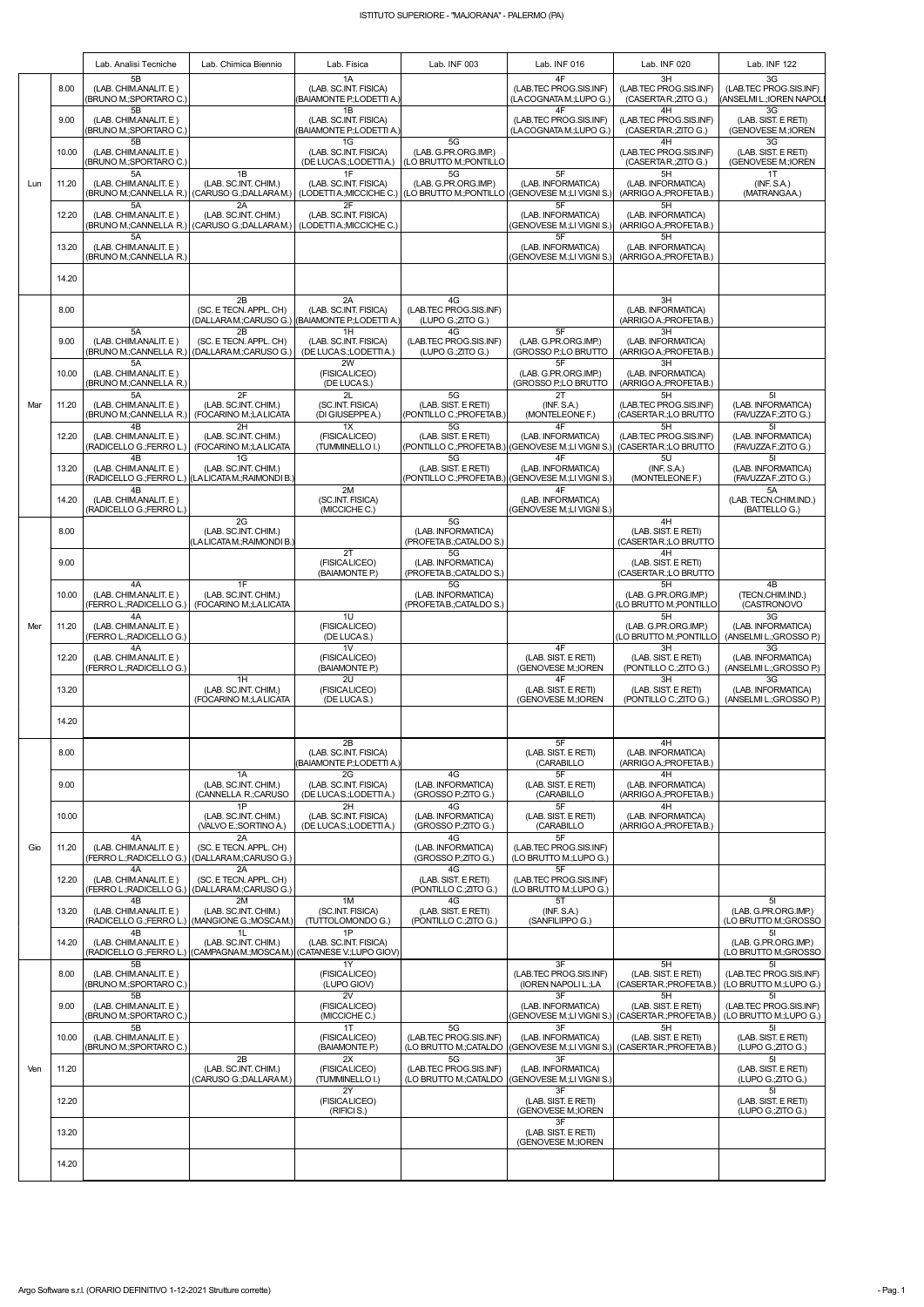|     |       | Lab. Analisi Tecniche                                                             | Lab. Chimica Biennio                                                                         | Lab. Fisica                                                                     | Lab. INF 003                                                | Lab. INF 016                                                                                   | Lab. INF 020                                                | Lab. INF 122                                                        |
|-----|-------|-----------------------------------------------------------------------------------|----------------------------------------------------------------------------------------------|---------------------------------------------------------------------------------|-------------------------------------------------------------|------------------------------------------------------------------------------------------------|-------------------------------------------------------------|---------------------------------------------------------------------|
| Lun | 8.00  | 5B<br>(LAB. CHIM.ANALIT. E)<br>(BRUNO M.; SPORTARO C.)<br>5B                      |                                                                                              | 1A<br>(LAB. SC.INT. FISICA)<br>(BAIAMONTE P.;LODETTI A.)<br>1B                  |                                                             | 4F<br>(LAB.TEC PROG.SIS.INF)<br>(LACOGNATAM: LUPO G.)<br>4F                                    | 3H<br>(LAB TEC PROG.SIS.INF)<br>(CASERTAR: ZITO G.)<br>4H   | 3G<br>(LAB.TEC PROG.SIS.INF)<br>(ANSELMI L.;IOREN NAPOLI<br>3G      |
|     | 9.00  | (LAB. CHIM.ANALIT. E)<br>(BRUNO M.; SPORTARO C.)                                  |                                                                                              | (LAB. SC.INT. FISICA)<br>(BAIAMONTE P.; LODETTI A.)                             |                                                             | (LAB.TEC PROG.SIS.INF)<br>(LACOGNATAM.;LUPO G.)                                                | (LAB.TEC PROG.SIS.INF)<br>(CASERTA R.; ZITO G.)             | (LAB. SIST. E RETI)<br>(GENOVESE M.; IOREN                          |
|     | 10.00 | 5B<br>(LAB. CHIM.ANALIT. E)<br>(BRUNO M.; SPORTARO C.)<br>5A                      | 1B                                                                                           | 1G<br>(LAB. SC.INT. FISICA)<br>(DE LUCAS.;LODETTIA.)<br>1F                      | 5G<br>(LAB. G.PR.ORG.IMP.)<br>(LO BRUTTO M.: PONTILLO<br>5G | 5F                                                                                             | 4H<br>(LAB.TEC PROG.SIS.INF)<br>(CASERTA R.; ZITO G.)<br>5H | 3G<br>(LAB. SIST. E RETI)<br>(GENOVESE M.; IOREN<br>1T              |
|     | 11.20 | (LAB. CHIM.ANALIT. E)                                                             | (LAB. SC.INT. CHIM.)<br>(BRUNO M.:CANNELLA R.) (CARUSO G.:DALLARAM.)                         | (LAB. SC.INT. FISICA)                                                           | (LAB. G.PR.ORG.IMP.)                                        | (LAB. INFORMATICA)<br>(LODETTIA: MICCICHE C.) (LO BRUTTO M. PONTILLO (GENOVESE M. LI VIGNI S.) | (LAB. INFORMATICA)<br>(ARRIGO A.: PROFETA B.)               | (INF. S.A.)<br>(MATRANGAA.)                                         |
|     | 12.20 | 5A<br>(LAB. CHIM.ANALIT. E)<br>5A                                                 | 2A<br>(LAB. SC.INT. CHIM.)<br>(BRUNO M.;CANNELLA R.) (CARUSO G.;DALLARAM.)                   | 2F<br>(LAB. SC.INT. FISICA)<br>(LODETTIA.; MICCICHE C.)                         |                                                             | 5F<br>(LAB. INFORMATICA)<br>(GENOVESE M.;LI VIGNI S.)<br>5F                                    | 5H<br>(LAB. INFORMATICA)<br>(ARRIGO A.; PROFETA B.)<br>5H   |                                                                     |
|     | 13.20 | (LAB. CHIM.ANALIT. E)<br>(BRUNO M.;CANNELLA R.)                                   |                                                                                              |                                                                                 |                                                             | (LAB. INFORMATICA)<br>(GENOVESE M.;LI VIGNI S.)                                                | (LAB. INFORMATICA)<br>(ARRIGO A.; PROFETA B.)               |                                                                     |
|     | 14.20 |                                                                                   |                                                                                              |                                                                                 |                                                             |                                                                                                |                                                             |                                                                     |
|     | 8.00  |                                                                                   | 2B<br>(SC. E TECN. APPL. CH)                                                                 | 2A<br>(LAB. SC.INT. FISICA)<br>(DALLARA M.;CARUSO G.) (BAIAMONTE P.;LODETTI A.) | 4G<br>(LAB.TEC PROG.SIS.INF)<br>(LUPO G.; ZITO G.)          |                                                                                                | 3H<br>(LAB. INFORMATICA)<br>(ARRIGO A.; PROFETA B.)         |                                                                     |
|     | 9.00  | 5A<br>(LAB. CHIM.ANALIT. E)<br>(BRUNO M.; CANNELLA R.)                            | 2B<br>(SC. E TECN. APPL. CH)<br>(DALLARA M.: CARUSO G.)                                      | 1H<br>(LAB. SC.INT. FISICA)<br>(DE LUCAS.;LODETTIA.)                            | 4G<br>(LAB.TEC PROG.SIS.INF)<br>(LUPO G.; ZITO G.)          | 5F<br>(LAB. G.PR.ORG.IMP.)<br>(GROSSO P.;LO BRUTTO                                             | 3H<br>(LAB. INFORMATICA)<br>(ARRIGO A.; PROFETA B.)         |                                                                     |
|     | 10.00 | 5A<br>(LAB. CHIM.ANALIT. E)<br>(BRUNO M.; CANNELLA R.)<br>5A                      | 2F                                                                                           | 2W<br>(FISICALICEO)<br>(DE LUCAS.)<br>2L                                        | 5G                                                          | 5F<br>(LAB. G.PR.ORG.IMP.)<br>(GROSSO P:LO BRUTTO<br>2T                                        | 3H<br>(LAB. INFORMATICA)<br>(ARRIGO A.; PROFETA B.)<br>5H   | 5 <sub>l</sub>                                                      |
| Mar | 11.20 | (LAB. CHIM.ANALIT. E)<br>(BRUNO M.;CANNELLA R.)                                   | (LAB. SC.INT. CHIM.)<br>(FOCARINO M.;LA LICATA                                               | (SC.INT. FISICA)<br>(DI GIUSEPPE A.)                                            | (LAB. SIST. E RETI)<br>(PONTILLO C.; PROFETA B.)            | (INF. S.A.)<br>(MONTELEONE F.)<br>4F                                                           | (LAB.TEC PROG.SIS.INF)<br>(CASERTAR.;LO BRUTTO              | (LAB. INFORMATICA)<br>(FAVUZZA F.; ZITO G.)                         |
|     | 12.20 | 4B<br>(LAB. CHIM.ANALIT. E)<br>(RADICELLO G.; FERRO L.)                           | 2H<br>(LAB. SC.INT. CHIM.)<br>(FOCARINO M.;LA LICATA                                         | 1X<br>(FISICALICEO)<br>(TUMMINELLO I.)                                          | 5G<br>(LAB. SIST. E RETI)                                   | (LAB. INFORMATICA)<br>(PONTILLO C.; PROFETAB.) (GENOVESE M.; LI VIGNI S.)                      | 5H<br>(LAB.TEC PROG.SIS.INF)<br>(CASERTAR.;LO BRUTTO        | 51<br>(LAB. INFORMATICA)<br>(FAVUZZA F.; ZITO G.)                   |
|     | 13.20 | 4B<br>(LAB. CHIM.ANALIT. E)<br>4B                                                 | 1G<br>(LAB. SC.INT. CHIM.)<br>(RADICELLO G.:FERRO L.)   (LA LICATA M.:RAIMONDI B.`           | 2M                                                                              | 5G<br>(LAB. SIST. E RETI)                                   | 4F<br>(LAB. INFORMATICA)<br>(PONTILLO C.; PROFETAB.) (GENOVESE M.; LI VIGNI S.)<br>4F          | 5U<br>(INF. S.A.)<br>(MONTELEONE F.)                        | 5 <sub>l</sub><br>(LAB. INFORMATICA)<br>(FAVUZZA F.; ZITO G.)<br>5A |
|     | 14.20 | (LAB. CHIM.ANALIT. E)<br>(RADICELLO G.; FERRO L.)                                 |                                                                                              | (SC.INT. FISICA)<br>(MICCICHE C.)                                               |                                                             | (LAB. INFORMATICA)<br>(GENOVESE M.;LI VIGNI S.)                                                |                                                             | (LAB. TECN.CHIM.IND.)<br>(BATTELLO G.)                              |
|     | 8.00  |                                                                                   | 2G<br>(LAB. SC.INT. CHIM.)<br>(LA LICATA M.; RAIMONDI B.                                     |                                                                                 | 5G<br>(LAB. INFORMATICA)<br>(PROFETA B.; CATALDO S.)<br>5G  |                                                                                                | 4H<br>(LAB. SIST. E RETI)<br>(CASERTAR.;LO BRUTTO           |                                                                     |
|     | 9.00  |                                                                                   |                                                                                              | 2T<br>(FISICALICEO)<br>(BAIAMONTE P.)                                           | (LAB. INFORMATICA)<br>(PROFETAB.;CATALDO S.)                |                                                                                                | 4H<br>(LAB. SIST. E RETI)<br>(CASERTAR.;LO BRUTTO           |                                                                     |
|     | 10.00 | 4A<br>(LAB. CHIM.ANALIT. E)<br>(FERRO L.:RADICELLO G.) (FOCARINO M.:LA LICATA     | 1F<br>(LAB. SC.INT. CHIM.)                                                                   |                                                                                 | 5G<br>(LAB. INFORMATICA)<br>(PROFETAB.: CATALDO S.)         |                                                                                                | 5H<br>(LAB. G.PR.ORG.IMP.)<br>(LO BRUTTO M.; PONTILLO)      | 4B<br>(TECN.CHIM.IND.)<br>(CASTRONOVO                               |
| Mer | 11.20 | 4A<br>(LAB. CHIM.ANALIT. E)<br>(FERRO L.; RADICELLO G.)                           |                                                                                              | 1U<br>(FISICALICEO)<br>(DE LUCAS.)<br>1 <sub>V</sub>                            |                                                             | 4F                                                                                             | 5H<br>(LAB. G.PR.ORG.IMP.)<br>(LO BRUTTO M.; PONTILLO)      | 3G<br>(LAB. INFORMATICA)<br>(ANSELMI L.; GROSSO P.)<br>3G           |
|     | 12.20 | 4A<br>(LAB. CHIM.ANALIT. E)<br>(FERRO L.; RADICELLO G.)                           |                                                                                              | (FISICALICEO)<br>(BAIAMONTE P.)                                                 |                                                             | (LAB. SIST. E RETI)<br>(GENOVESE M.; IOREN                                                     | 3H<br>(LAB. SIST. E RETI)<br>(PONTILLO C.; ZITO G.)         | (LAB. INFORMATICA)<br>(ANSELMI L.; GROSSO P.)                       |
|     | 13.20 |                                                                                   | 1H<br>(LAB. SC.INT. CHIM.)<br>(FOCARINO M.;LA LICATA                                         | 2U<br>(FISICALICEO)<br>(DE LUCAS.)                                              |                                                             | 4F<br>(LAB. SIST. E RETI)<br>(GENOVESE M.; IOREN                                               | 3H<br>(LAB. SIST. E RETI)<br>(PONTILLO C.; ZITO G.)         | 3G<br>(LAB. INFORMATICA)<br>(ANSELMI L.; GROSSO P.)                 |
|     | 14.20 |                                                                                   |                                                                                              | 2B                                                                              |                                                             | 5F                                                                                             | 4H                                                          |                                                                     |
|     | 8.00  |                                                                                   | 1A                                                                                           | (LAB. SC.INT. FISICA)<br>(BAIAMONTE P.;LODETTI A.)<br>2G                        | 4G                                                          | (LAB. SIST. E RETI)<br>(CARABILLO<br>5F                                                        | (LAB. INFORMATICA)<br>(ARRIGO A.; PROFETA B.)<br>4H         |                                                                     |
|     | 9.00  |                                                                                   | (LAB. SC.INT. CHIM.)<br>(CANNELLA R.; CARUSO<br>1P                                           | (LAB. SC.INT. FISICA)<br>(DE LUCAS.;LODETTIA.)<br>2H                            | (LAB. INFORMATICA)<br>(GROSSO P.; ZITO G.)<br>4G            | (LAB. SIST. E RETI)<br>(CARABILLO<br>5F                                                        | (LAB. INFORMATICA)<br>(ARRIGO A.; PROFETA B.)<br>4H         |                                                                     |
|     | 10.00 | 4A                                                                                | (LAB. SC.INT. CHIM.)<br>(VALVO E.; SORTINO A.)<br>2A                                         | (LAB. SC.INT. FISICA)<br>(DE LUCAS.;LODETTIA.)                                  | (LAB. INFORMATICA)<br>(GROSSO P.;ZITO G.)<br>4G             | (LAB. SIST. E RETI)<br>(CARABILLO<br>5F                                                        | (LAB. INFORMATICA)<br>(ARRIGO A.; PROFETA B.)               |                                                                     |
| Gio | 11.20 | (LAB. CHIM.ANALIT. E)<br>(FERRO L.; RADICELLO G.)<br>4A                           | (SC. E TECN. APPL. CH)<br>(DALLARAM.;CARUSO G.)<br>2A                                        |                                                                                 | (LAB. INFORMATICA)<br>(GROSSO P.; ZITO G.)<br>4G            | (LAB.TEC PROG.SIS.INF)<br>(LO BRUTTO M.;LUPO G.)<br>5F                                         |                                                             |                                                                     |
|     | 12.20 | (LAB. CHIM.ANALIT. E)<br>(FERRO L.; RADICELLO G.)   (DALLARA M.; CARUSO G.)<br>4B | (SC. E TECN. APPL. CH)<br>2M                                                                 | 1M                                                                              | (LAB. SIST. E RETI)<br>(PONTILLO C.; ZITO G.)<br>4G         | (LAB.TEC PROG.SIS.INF)<br>(LO BRUTTO M.;LUPO G.)<br>5T                                         |                                                             | 5 <sub>l</sub>                                                      |
|     | 13.20 | (LAB. CHIM.ANALIT. E)<br>4B                                                       | (LAB. SC.INT. CHIM.)<br>(RADICELLO G.;FERRO L.) (MANGIONE G.;MOSCAM.)<br>1L                  | (SC.INT. FISICA)<br>(TUTTOLOMONDO G.)<br>1P                                     | (LAB. SIST. E RETI)<br>(PONTILLO C.; ZITO G.)               | (INF. S.A.)<br>(SANFILIPPO G.)                                                                 |                                                             | (LAB. G.PR.ORG.IMP.)<br>(LO BRUTTO M.; GROSSO<br>5 <sub>l</sub>     |
| Ven | 14.20 | (LAB. CHIM.ANALIT. E)<br>5B                                                       | (LAB. SC.INT. CHIM.)<br>(RADICELLO G.;FERRO L.) (CAMPAGNAM.;MOSCAM.) (CATANESE V.;LUPO GIOV) | (LAB. SC.INT. FISICA)<br>1Y                                                     |                                                             | 3F                                                                                             | 5H                                                          | (LAB. G.PR.ORG.IMP.)<br>(LO BRUTTO M.; GROSSO<br>51                 |
|     | 8.00  | (LAB. CHIM.ANALIT. E)<br>(BRUNO M.; SPORTARO C.)                                  |                                                                                              | (FISICALICEO)<br>(LUPO GIOV)                                                    |                                                             | (LAB.TEC PROG.SIS.INF)<br>(IOREN NAPOLI L.;LA                                                  | (LAB. SIST. E RETI)<br>(CASERTAR.; PROFETAB.)               | (LAB.TEC PROG.SIS.INF)<br>(LO BRUTTO M.;LUPO G.)                    |
|     | 9.00  | 5B<br>(LAB. CHIM.ANALIT. E)<br>(BRUNO M.; SPORTARO C.)<br>5B                      |                                                                                              | 2V<br>(FISICALICEO)<br>(MICCICHE C.)<br>1T                                      | 5G                                                          | 3F<br>(LAB. INFORMATICA)<br>(GENOVESE M.;LI VIGNI S.)<br>3F                                    | 5H<br>(LAB. SIST. E RETI)<br>(CASERTAR.; PROFETAB.)<br>5H   | 51<br>(LAB.TEC PROG.SIS.INF)<br>(LO BRUTTO M.;LUPO G.)<br>5I        |
|     | 10.00 | (LAB. CHIM.ANALIT. E)<br>(BRUNO M.; SPORTARO C.)                                  | 2B                                                                                           | (FISICALICEO)<br>(BAIAMONTE P.)<br>2X                                           | (LAB.TEC PROG.SIS.INF)<br>(LO BRUTTO M.; CATALDO<br>5G      | (LAB. INFORMATICA)<br> (GENOVESE M.:LI VIGNI S.)  (CASERTA R.:PROFETA B.)<br>3F                | (LAB. SIST. E RETI)                                         | (LAB. SIST. E RETI)<br>(LUPO G.; ZITO G.)<br>51                     |
|     | 11.20 |                                                                                   | (LAB. SC.INT. CHIM.)<br>(CARUSO G.; DALLARAM.)                                               | (FISICALICEO)<br>(TUMMINELLO I.)                                                | (LAB.TEC PROG.SIS.INF)<br>(LO BRUTTO M.:CATALDO             | (LAB. INFORMATICA)<br>(GENOVESE M.;LI VIGNI S.)                                                |                                                             | (LAB. SIST. E RETI)<br>(LUPO G.; ZITO G.)                           |
|     | 12.20 |                                                                                   |                                                                                              | 2Y<br>(FISICALICEO)<br>(RIFICI S.)                                              |                                                             | 3F<br>(LAB. SIST. E RETI)<br>(GENOVESE M.; IOREN                                               |                                                             | 5 <sub>l</sub><br>(LAB. SIST. E RETI)<br>(LUPO G.;ZITO G.)          |
|     | 13.20 |                                                                                   |                                                                                              |                                                                                 |                                                             | 3F<br>(LAB. SIST. E RETI)<br>(GENOVESE M.; IOREN                                               |                                                             |                                                                     |
|     | 14.20 |                                                                                   |                                                                                              |                                                                                 |                                                             |                                                                                                |                                                             |                                                                     |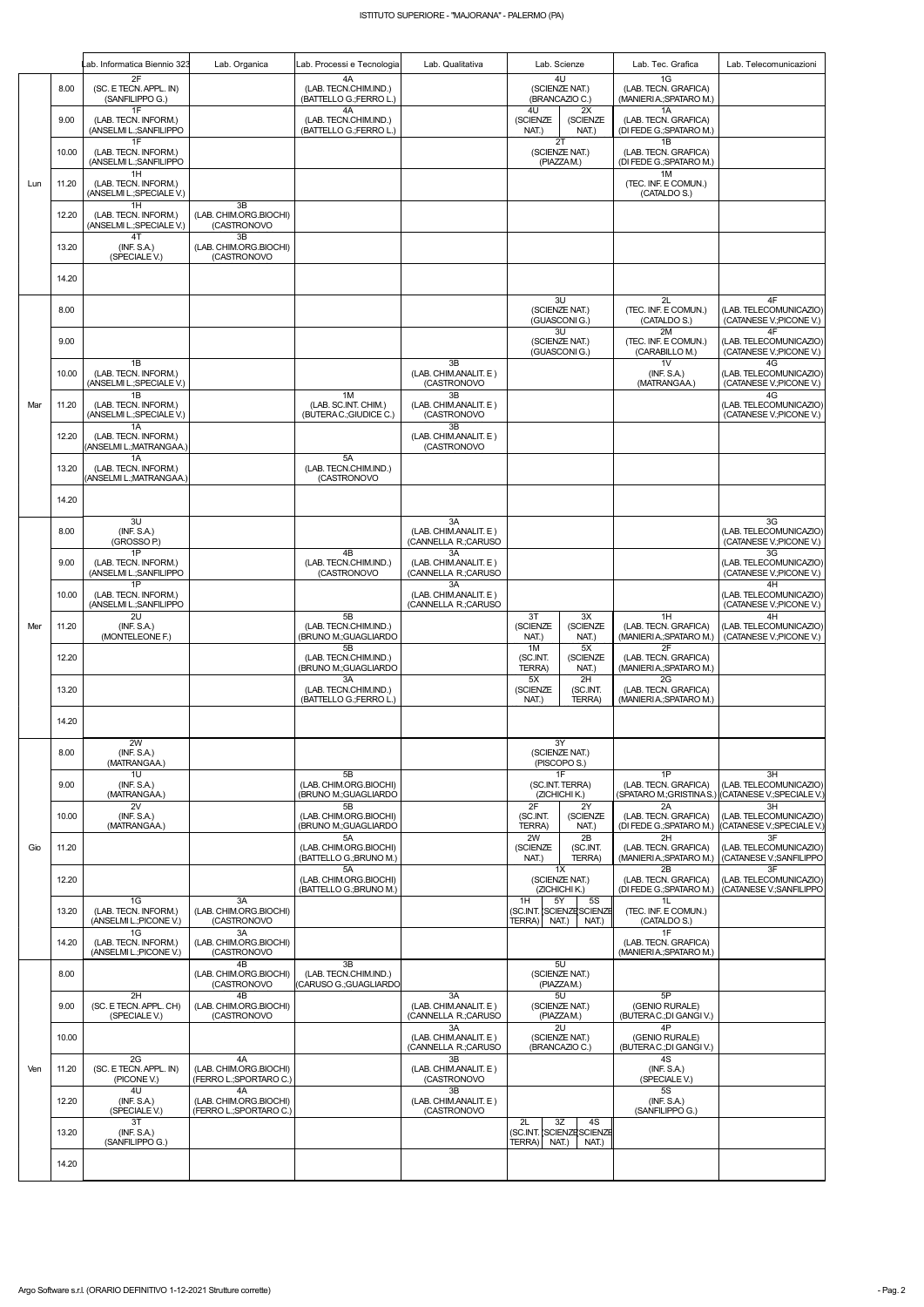|     |       | Lab. Informatica Biennio 323                                  | Lab. Organica                                           | Lab. Processi e Tecnologia                              | Lab. Qualitativa                                    | Lab. Scienze                          |                                                | Lab. Tec. Grafica                                            | Lab. Telecomunicazioni                                                              |
|-----|-------|---------------------------------------------------------------|---------------------------------------------------------|---------------------------------------------------------|-----------------------------------------------------|---------------------------------------|------------------------------------------------|--------------------------------------------------------------|-------------------------------------------------------------------------------------|
| Lun | 8.00  | 2F<br>(SC. E TECN. APPL. IN)<br>(SANFILIPPO G.)               |                                                         | 4A<br>(LAB. TECN.CHIM.IND.)<br>(BATTELLO G.;FERRO L.)   |                                                     |                                       | 4U<br>(SCIENZE NAT.)<br>(BRANCAZIO C.)         | 1G<br>(LAB. TECN. GRAFICA)<br>(MANIERIA: SPATARO M.)         |                                                                                     |
|     | 9.00  | 1F<br>(LAB. TECN. INFORM.)<br>(ANSELMI L.; SANFILIPPO<br>1F   |                                                         | 4A<br>(LAB. TECN.CHIM.IND.)<br>(BATTELLO G.;FERRO L.)   |                                                     | 4U<br>(SCIENZE<br>NAT.)               | 2X<br>(SCIENZE<br>NAT.)<br>2T                  | 1A<br>(LAB. TECN. GRAFICA)<br>(DI FEDE G.; SPATARO M.)<br>1B |                                                                                     |
|     | 10.00 | (LAB. TECN. INFORM.)<br>(ANSELMI L.; SANFILIPPO               |                                                         |                                                         |                                                     |                                       | (SCIENZE NAT.)<br>(PIAZZAM.)                   | (LAB. TECN. GRAFICA)<br>(DI FEDE G.; SPATARO M.)             |                                                                                     |
|     | 11.20 | 1H<br>(LAB. TECN. INFORM.)<br>(ANSELMI L.; SPECIALE V.)       |                                                         |                                                         |                                                     |                                       |                                                | 1M<br>(TEC. INF. E COMUN.)<br>(CATALDO S.)                   |                                                                                     |
|     | 12.20 | 1H<br>(LAB. TECN. INFORM.)<br>(ANSELMI L.; SPECIALE V.)<br>4T | 3B<br>(LAB. CHIM.ORG.BIOCHI)<br>(CASTRONOVO<br>3B       |                                                         |                                                     |                                       |                                                |                                                              |                                                                                     |
|     | 13.20 | (INF. S.A.)<br>(SPECIALE V.)                                  | (LAB. CHIM.ORG.BIOCHI)<br>(CASTRONOVO                   |                                                         |                                                     |                                       |                                                |                                                              |                                                                                     |
|     | 14.20 |                                                               |                                                         |                                                         |                                                     |                                       |                                                |                                                              |                                                                                     |
|     | 8.00  |                                                               |                                                         |                                                         |                                                     |                                       | 3U<br>(SCIENZE NAT.)<br>(GUASCONIG.)           | 2L<br>(TEC. INF. E COMUN.)<br>(CATALDO S.)                   | 4F<br>(LAB. TELECOMUNICAZIO)<br>(CATANESE V.; PICONE V.)                            |
|     | 9.00  |                                                               |                                                         |                                                         |                                                     |                                       | 3U<br>(SCIENZE NAT.)<br>(GUASCONIG.)           | 2M<br>(TEC. INF. E COMUN.)<br>(CARABILLO M.)                 | 4F<br>(LAB. TELECOMUNICAZIO)<br>(CATANESE V.; PICONE V.)                            |
|     | 10.00 | 1B<br>(LAB. TECN. INFORM.)<br>(ANSELMI L.; SPECIALE V.)       |                                                         |                                                         | 3B<br>(LAB. CHIM.ANALIT. E)<br>(CASTRONOVO          |                                       |                                                | 1 <sub>V</sub><br>(INF. S.A.)<br>(MATRANGAA.)                | 4G<br>(LAB. TELECOMUNICAZIO)<br>(CATANESE V.; PICONE V.)                            |
| Mar | 11.20 | 1B<br>(LAB. TECN. INFORM.)<br>(ANSELMI L.; SPECIALE V.)       |                                                         | 1M<br>(LAB. SC.INT. CHIM.)<br>(BUTERAC.;GIUDICE C.)     | 3B<br>(LAB. CHIM.ANALIT. E)<br>(CASTRONOVO          |                                       |                                                |                                                              | 4G<br>(LAB. TELECOMUNICAZIO)<br>(CATANESE V.; PICONE V.)                            |
|     | 12.20 | 1A<br>(LAB. TECN. INFORM.)<br>(ANSELMI L.; MATRANGAA.)        |                                                         |                                                         | 3B<br>(LAB. CHIM.ANALIT. E)<br>(CASTRONOVO          |                                       |                                                |                                                              |                                                                                     |
|     | 13.20 | 1A<br>(LAB. TECN. INFORM.)<br>(ANSELMI L.; MATRANGAA.)        |                                                         | 5A<br>(LAB. TECN.CHIM.IND.)<br>(CASTRONOVO              |                                                     |                                       |                                                |                                                              |                                                                                     |
|     | 14.20 |                                                               |                                                         |                                                         |                                                     |                                       |                                                |                                                              |                                                                                     |
|     | 8.00  | 3U<br>(INF. S.A.)<br>(GROSSO P.)                              |                                                         |                                                         | 3A<br>(LAB. CHIM.ANALIT. E)<br>(CANNELLA R.;CARUSO  |                                       |                                                |                                                              | 3G<br>(LAB. TELECOMUNICAZIO)<br>(CATANESE V.; PICONE V.)                            |
|     | 9.00  | 1P<br>(LAB. TECN. INFORM.)<br>(ANSELMI L.; SANFILIPPO         |                                                         | 4B<br>(LAB. TECN.CHIM.IND.)<br>(CASTRONOVO              | 3A<br>(LAB. CHIM.ANALIT. E)<br>(CANNELLA R.; CARUSO |                                       |                                                |                                                              | 3G<br>(LAB. TELECOMUNICAZIO)<br>(CATANESE V.; PICONE V.)                            |
|     | 10.00 | 1P<br>(LAB. TECN. INFORM.)<br>(ANSELMI L.; SANFILIPPO         |                                                         |                                                         | 3A<br>(LAB. CHIM.ANALIT. E)<br>(CANNELLA R.; CARUSO |                                       |                                                |                                                              | 4H<br>(LAB. TELECOMUNICAZIO)<br>(CATANESE V.; PICONE V.)                            |
| Mer | 11.20 | 2U<br>(INF. S.A.)<br>(MONTELEONE F.)                          |                                                         | 5B<br>(LAB. TECN.CHIM.IND.)<br>(BRUNO M.; GUAGLIARDO    |                                                     | 3T<br>(SCIENZE<br>NAT.)               | 3X<br>(SCIENZE<br>NAT.)                        | 1H<br>(LAB. TECN. GRAFICA)<br>(MANIERIA: SPATARO M.)         | 4H<br>(LAB. TELECOMUNICAZIO)<br>(CATANESE V.; PICONE V.)                            |
|     | 12.20 |                                                               |                                                         | 5B<br>(LAB. TECN.CHIM.IND.)<br>(BRUNO M.; GUAGLIARDO    |                                                     | 1M<br>(SC.INT.<br>TERRA)              | 5X<br>(SCIENZE<br>NAT.)                        | 2F<br>(LAB. TECN. GRAFICA)<br>(MANIERIA: SPATARO M.)         |                                                                                     |
|     | 13.20 |                                                               |                                                         | 3A<br>(LAB. TECN.CHIM.IND.)<br>(BATTELLO G.; FERRO L.)  |                                                     | 5X<br>(SCIENZE<br>NAT.)               | 2H<br>(SC.INT.<br>TERRA)                       | 2G<br>(LAB. TECN. GRAFICA)<br>(MANIERIA: SPATARO M.)         |                                                                                     |
|     | 14.20 |                                                               |                                                         |                                                         |                                                     |                                       |                                                |                                                              |                                                                                     |
|     | 8.00  | 2W<br>(INF. S.A.)<br>(MATRANGAA.)                             |                                                         |                                                         |                                                     | 3Y<br>(SCIENZE NAT.)<br>(PISCOPO S.)  |                                                |                                                              |                                                                                     |
|     | 9.00  | 1U<br>(INF. S.A.)<br>(MATRANGAA.)                             |                                                         | 5B<br>(LAB. CHIM.ORG.BIOCHI)<br>(BRUNO M.; GUAGLIARDO   |                                                     | 1F<br>(SC.INT. TERRA)<br>(ZICHICHIK.) |                                                | 1P<br>(LAB. TECN. GRAFICA)                                   | 3H<br>(LAB. TELECOMUNICAZIO)<br>(SPATARO M.;GRISTINA S.) (CATANESE V.;SPECIALE V.)  |
|     | 10.00 | 2V<br>(INF. S.A.)<br>(MATRANGAA.)                             |                                                         | 5B<br>(LAB. CHIM.ORG.BIOCHI)<br>(BRUNO M.;GUAGLIARDO    |                                                     | 2F<br>(SC.INT.<br>TERRA)              | 2Y<br>(SCIENZE<br>NAT.)                        | 2A<br>(LAB. TECN. GRAFICA)                                   | 3H<br>(LAB. TELECOMUNICAZIO)<br>(DI FEDE G.; SPATARO M.) (CATANESE V.; SPECIALE V.) |
| Gio | 11.20 |                                                               |                                                         | 5A<br>(LAB. CHIM.ORG.BIOCHI)<br>(BATTELLO G.; BRUNO M.) |                                                     | 2W<br>(SCIENZE<br>NAT.)               | 2B<br>(SC.INT.<br>TERRA)                       | 2H<br>(LAB. TECN. GRAFICA)<br>(MANIERIA: SPATARO M.)         | 3F<br>(LAB. TELECOMUNICAZIO)<br>CATANESE V.; SANFILIPPO                             |
|     | 12.20 |                                                               |                                                         | 5A<br>(LAB. CHIM.ORG.BIOCHI)<br>(BATTELLO G.; BRUNO M.) |                                                     |                                       | 1X<br>(SCIENZE NAT.)<br>(ZICHICHI K.)          | 2B<br>(LAB. TECN. GRAFICA)<br>(DI FEDE G.; SPATARO M.)       | 3F<br>(LAB. TELECOMUNICAZIO)<br>(CATANESE V.; SANFILIPPO)                           |
|     | 13.20 | 1G<br>(LAB. TECN. INFORM.)<br>(ANSELMI L.; PICONE V.)         | 3A<br>(LAB. CHIM.ORG.BIOCHI)<br>(CASTRONOVO             |                                                         |                                                     | 1H<br>5Y<br>TERRA) NAT.)              | <b>5S</b><br>(SC.INT. SCIENZE SCIENZE<br>NAT.) | 1L<br>(TEC. INF. E COMUN.)<br>(CATALDO S.)                   |                                                                                     |
|     | 14.20 | 1G<br>(LAB. TECN. INFORM.)<br>(ANSELMI L.; PICONE V.)         | 3A<br>(LAB. CHIM.ORG.BIOCHI)<br>(CASTRONOVO             |                                                         |                                                     |                                       |                                                | 1F<br>(LAB. TECN. GRAFICA)<br>(MANIERIA: SPATARO M.)         |                                                                                     |
| Ven | 8.00  |                                                               | 4B<br>(LAB. CHIM.ORG.BIOCHI)<br>(CASTRONOVO             | 3B<br>(LAB. TECN.CHIM.IND.)<br>(CARUSO G.: GUAGLIARDO   |                                                     |                                       | 5U<br>(SCIENZE NAT.)<br>(PIAZZAM.)             |                                                              |                                                                                     |
|     | 9.00  | 2H<br>(SC. E TECN. APPL. CH)<br>(SPECIALE V.)                 | 4B<br>(LAB. CHIM.ORG.BIOCHI)<br>(CASTRONOVO             |                                                         | 3A<br>(LAB. CHIM.ANALIT. E)<br>(CANNELLA R.; CARUSO |                                       | 5U<br>(SCIENZE NAT.)<br>(PIAZZAM.)             | 5P<br>(GENIO RURALE)<br>(BUTERAC.; DI GANGI V.)              |                                                                                     |
|     | 10.00 |                                                               |                                                         |                                                         | 3A<br>(LAB. CHIM.ANALIT. E)<br>(CANNELLA R.; CARUSO |                                       | 2U<br>(SCIENZE NAT.)<br>(BRANCAZIO C.)         | 4P<br>(GENIO RURALE)<br>(BUTERAC.; DI GANGI V.)              |                                                                                     |
|     | 11.20 | 2G<br>(SC. E TECN. APPL. IN)<br>(PICONE V.)                   | 4A<br>(LAB. CHIM.ORG.BIOCHI)<br>(FERRO L.; SPORTARO C.) |                                                         | 3B<br>(LAB. CHIM.ANALIT. E)<br>(CASTRONOVO          |                                       |                                                | 4S<br>(INF. S.A.)<br>(SPECIALE V.)                           |                                                                                     |
|     | 12.20 | 4U<br>(INF. S.A.)<br>(SPECIALE V.)                            | 4A<br>(LAB. CHIM.ORG.BIOCHI)<br>(FERRO L.; SPORTARO C.) |                                                         | 3B<br>(LAB. CHIM.ANALIT. E)<br>(CASTRONOVO          |                                       |                                                | 5S<br>(INF. S.A.)<br>(SANFILIPPO G.)                         |                                                                                     |
|     | 13.20 | 3T<br>(INF. S.A.)<br>(SANFILIPPO G.)                          |                                                         |                                                         |                                                     | 2L<br>TERRA) NAT.)                    | 3Z<br>4S<br>(SC.INT. SCIENZE SCIENZE<br>NAT.)  |                                                              |                                                                                     |
|     | 14.20 |                                                               |                                                         |                                                         |                                                     |                                       |                                                |                                                              |                                                                                     |